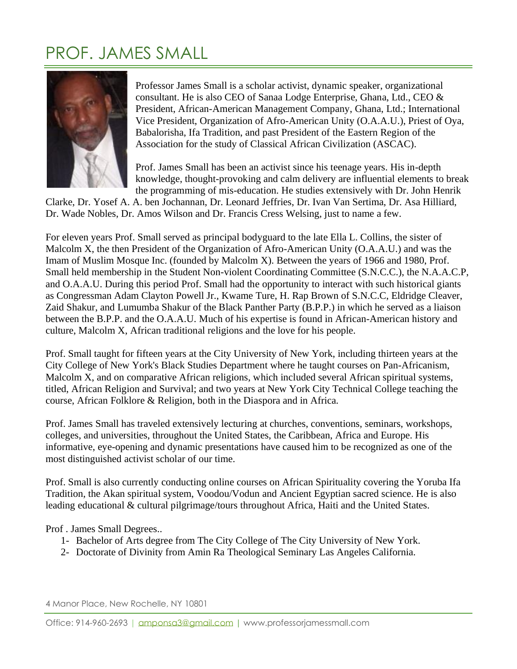## PROF. JAMES SMALL



Professor James Small is a scholar activist, dynamic speaker, organizational consultant. He is also CEO of Sanaa Lodge Enterprise, Ghana, Ltd., CEO & President, African-American Management Company, Ghana, Ltd.; International Vice President, Organization of Afro-American Unity (O.A.A.U.), Priest of Oya, Babalorisha, Ifa Tradition, and past President of the Eastern Region of the Association for the study of Classical African Civilization (ASCAC).

Prof. James Small has been an activist since his teenage years. His in-depth knowledge, thought-provoking and calm delivery are influential elements to break the programming of mis-education. He studies extensively with Dr. John Henrik

Clarke, Dr. Yosef A. A. ben Jochannan, Dr. Leonard Jeffries, Dr. Ivan Van Sertima, Dr. Asa Hilliard, Dr. Wade Nobles, Dr. Amos Wilson and Dr. Francis Cress Welsing, just to name a few.

For eleven years Prof. Small served as principal bodyguard to the late Ella L. Collins, the sister of Malcolm X, the then President of the Organization of Afro-American Unity (O.A.A.U.) and was the Imam of Muslim Mosque Inc. (founded by Malcolm X). Between the years of 1966 and 1980, Prof. Small held membership in the Student Non-violent Coordinating Committee (S.N.C.C.), the N.A.A.C.P, and O.A.A.U. During this period Prof. Small had the opportunity to interact with such historical giants as Congressman Adam Clayton Powell Jr., Kwame Ture, H. Rap Brown of S.N.C.C, Eldridge Cleaver, Zaid Shakur, and Lumumba Shakur of the Black Panther Party (B.P.P.) in which he served as a liaison between the B.P.P. and the O.A.A.U. Much of his expertise is found in African-American history and culture, Malcolm X, African traditional religions and the love for his people.

Prof. Small taught for fifteen years at the City University of New York, including thirteen years at the City College of New York's Black Studies Department where he taught courses on Pan-Africanism, Malcolm X, and on comparative African religions, which included several African spiritual systems, titled, African Religion and Survival; and two years at New York City Technical College teaching the course, African Folklore & Religion, both in the Diaspora and in Africa.

Prof. James Small has traveled extensively lecturing at churches, conventions, seminars, workshops, colleges, and universities, throughout the United States, the Caribbean, Africa and Europe. His informative, eye-opening and dynamic presentations have caused him to be recognized as one of the most distinguished activist scholar of our time.

Prof. Small is also currently conducting online courses on African Spirituality covering the Yoruba Ifa Tradition, the Akan spiritual system, Voodou/Vodun and Ancient Egyptian sacred science. He is also leading educational & cultural pilgrimage/tours throughout Africa, Haiti and the United States.

Prof . James Small Degrees..

- 1- Bachelor of Arts degree from The City College of The City University of New York.
- 2- Doctorate of Divinity from Amin Ra Theological Seminary Las Angeles California.

4 Manor Place, New Rochelle, NY 10801